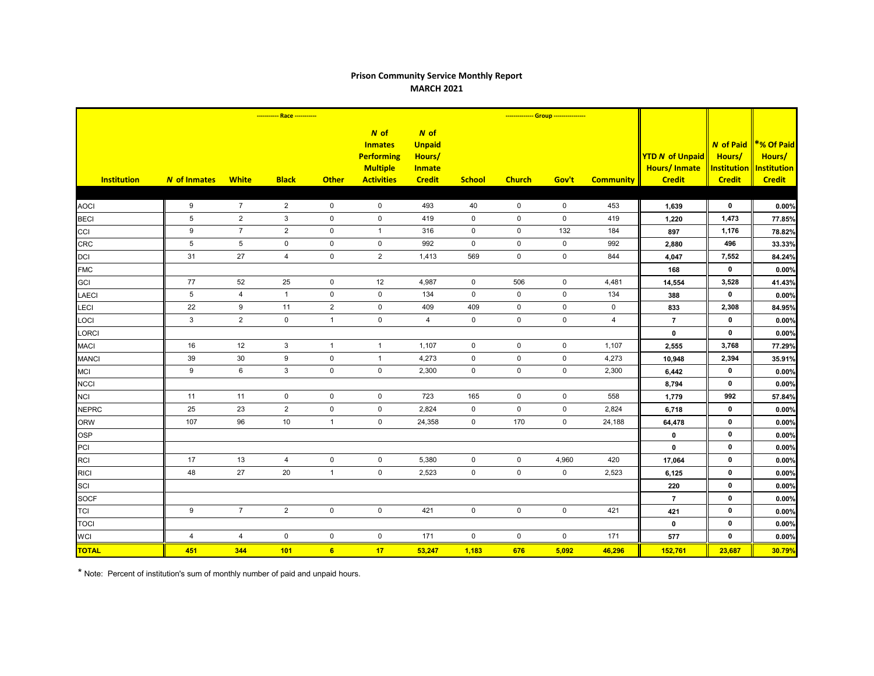## **Prison Community Service Monthly Report MARCH 2021**

|                    |                     |                 |                     |                | -------------- Group ----------------                                                 |                                                                   |               |                     |             |                  |                                                                |                                                                   |                                                             |
|--------------------|---------------------|-----------------|---------------------|----------------|---------------------------------------------------------------------------------------|-------------------------------------------------------------------|---------------|---------------------|-------------|------------------|----------------------------------------------------------------|-------------------------------------------------------------------|-------------------------------------------------------------|
| <b>Institution</b> | <b>N</b> of Inmates | <b>White</b>    | <b>Black</b>        | <b>Other</b>   | $N$ of<br><b>Inmates</b><br><b>Performing</b><br><b>Multiple</b><br><b>Activities</b> | N of<br><b>Unpaid</b><br>Hours/<br><b>Inmate</b><br><b>Credit</b> | <b>School</b> | <b>Church</b>       | Gov't       | <b>Community</b> | <b>YTD N of Unpaid</b><br><b>Hours/Inmate</b><br><b>Credit</b> | <b>N</b> of Paid<br>Hours/<br><b>Institution</b><br><b>Credit</b> | *% Of Paid<br>Hours/<br><b>Institution</b><br><b>Credit</b> |
|                    |                     |                 |                     |                |                                                                                       |                                                                   |               |                     |             |                  |                                                                |                                                                   |                                                             |
| <b>AOCI</b>        | 9                   | $\overline{7}$  | $\overline{2}$      | $\mathbf 0$    | $\mathbf 0$                                                                           | 493                                                               | 40            | $\mathbf 0$         | $\mathbf 0$ | 453              | 1,639                                                          | $\mathbf 0$                                                       | 0.00%                                                       |
| <b>BECI</b>        | 5                   | $\overline{2}$  | 3                   | $\pmb{0}$      | $\mathbf 0$                                                                           | 419                                                               | $\mathsf{O}$  | $\mathbf 0$         | $\mathbf 0$ | 419              | 1,220                                                          | 1,473                                                             | 77.85%                                                      |
| CCI                | 9                   | $\overline{7}$  | $\overline{2}$      | $\pmb{0}$      | $\mathbf{1}$                                                                          | 316                                                               | $\mathsf 0$   | $\mathbf 0$         | 132         | 184              | 897                                                            | 1,176                                                             | 78.82%                                                      |
| <b>CRC</b>         | 5                   | $5\phantom{.0}$ | $\mathbf 0$         | $\mathbf 0$    | $\mathbf 0$                                                                           | 992                                                               | $\mathbf 0$   | $\mathbf 0$         | $\mathbf 0$ | 992              | 2,880                                                          | 496                                                               | 33.33%                                                      |
| <b>DCI</b>         | 31                  | 27              | $\overline{4}$      | $\mathbf 0$    | 2                                                                                     | 1,413                                                             | 569           | $\mathbf 0$         | $\mathbf 0$ | 844              | 4,047                                                          | 7,552                                                             | 84.24%                                                      |
| <b>FMC</b>         |                     |                 |                     |                |                                                                                       |                                                                   |               |                     |             |                  | 168                                                            | $\mathbf 0$                                                       | 0.00%                                                       |
| <b>GCI</b>         | $77\,$              | 52              | 25                  | $\pmb{0}$      | 12                                                                                    | 4,987                                                             | $\mathbf 0$   | 506                 | $\pmb{0}$   | 4,481            | 14,554                                                         | 3,528                                                             | 41.43%                                                      |
| <b>LAECI</b>       | $\overline{5}$      | $\overline{4}$  | $\mathbf{1}$        | $\mathbf 0$    | $\mathbf 0$                                                                           | 134                                                               | $\mathbf 0$   | $\mathbf 0$         | $\mathbf 0$ | 134              | 388                                                            | $\mathbf{0}$                                                      | 0.00%                                                       |
| LECI               | 22                  | 9               | 11                  | $\overline{2}$ | $\mathbf 0$                                                                           | 409                                                               | 409           | $\mathbf 0$         | $\mathbf 0$ | $\mathbf 0$      | 833                                                            | 2,308                                                             | 84.95%                                                      |
| LOCI               | $\mathbf{3}$        | $\overline{2}$  | $\mathsf{O}\xspace$ | $\mathbf{1}$   | $\mathsf 0$                                                                           | $\overline{4}$                                                    | $\mathbf 0$   | $\mathsf{O}\xspace$ | $\mathbf 0$ | 4                | $\overline{7}$                                                 | $\mathbf 0$                                                       | 0.00%                                                       |
| LORCI              |                     |                 |                     |                |                                                                                       |                                                                   |               |                     |             |                  | $\pmb{0}$                                                      | $\mathbf 0$                                                       | 0.00%                                                       |
| <b>MACI</b>        | 16                  | 12              | 3                   | $\overline{1}$ | $\mathbf{1}$                                                                          | 1,107                                                             | $\mathbf 0$   | $\mathbf 0$         | $\mathbf 0$ | 1,107            | 2,555                                                          | 3,768                                                             | 77.29%                                                      |
| <b>MANCI</b>       | 39                  | 30              | 9                   | 0              | $\overline{1}$                                                                        | 4,273                                                             | $\mathbf 0$   | $\mathbf 0$         | $\mathbf 0$ | 4,273            | 10,948                                                         | 2,394                                                             | 35.91%                                                      |
| <b>MCI</b>         | 9                   | $\,6\,$         | $\mathbf{3}$        | $\pmb{0}$      | $\mathsf 0$                                                                           | 2,300                                                             | $\mathsf 0$   | $\mathsf{O}\xspace$ | $\pmb{0}$   | 2,300            | 6,442                                                          | $\mathbf 0$                                                       | 0.00%                                                       |
| <b>NCCI</b>        |                     |                 |                     |                |                                                                                       |                                                                   |               |                     |             |                  | 8,794                                                          | $\mathbf 0$                                                       | 0.00%                                                       |
| <b>NCI</b>         | 11                  | 11              | $\mathbf 0$         | $\pmb{0}$      | $\mathbf 0$                                                                           | 723                                                               | 165           | $\mathbf 0$         | $\mathbf 0$ | 558              | 1,779                                                          | 992                                                               | 57.84%                                                      |
| <b>NEPRC</b>       | 25                  | 23              | $\overline{2}$      | $\pmb{0}$      | $\mathsf{O}\xspace$                                                                   | 2,824                                                             | $\mathbf 0$   | $\mathbf 0$         | $\pmb{0}$   | 2,824            | 6,718                                                          | $\mathbf 0$                                                       | 0.00%                                                       |
| <b>ORW</b>         | 107                 | 96              | 10                  | $\mathbf{1}$   | $\mathbf 0$                                                                           | 24,358                                                            | $\mathbf 0$   | 170                 | $\mathbf 0$ | 24,188           | 64,478                                                         | $\mathbf 0$                                                       | 0.00%                                                       |
| <b>OSP</b>         |                     |                 |                     |                |                                                                                       |                                                                   |               |                     |             |                  | $\mathbf 0$                                                    | $\mathbf 0$                                                       | 0.00%                                                       |
| PCI                |                     |                 |                     |                |                                                                                       |                                                                   |               |                     |             |                  | $\mathbf 0$                                                    | $\mathbf 0$                                                       | 0.00%                                                       |
| <b>RCI</b>         | 17                  | 13              | $\overline{4}$      | $\pmb{0}$      | $\mathbf 0$                                                                           | 5,380                                                             | $\mathsf 0$   | $\mathbf 0$         | 4,960       | 420              | 17,064                                                         | $\mathbf 0$                                                       | 0.00%                                                       |
| <b>RICI</b>        | 48                  | 27              | 20                  | $\mathbf{1}$   | $\mathbf 0$                                                                           | 2,523                                                             | $\mathbf 0$   | $\mathbf 0$         | $\mathbf 0$ | 2,523            | 6,125                                                          | $\mathbf 0$                                                       | 0.00%                                                       |
| SCI                |                     |                 |                     |                |                                                                                       |                                                                   |               |                     |             |                  | 220                                                            | $\mathbf 0$                                                       | 0.00%                                                       |
| <b>SOCF</b>        |                     |                 |                     |                |                                                                                       |                                                                   |               |                     |             |                  | $\overline{7}$                                                 | 0                                                                 | 0.00%                                                       |
| <b>TCI</b>         | 9                   | $\overline{7}$  | $2^{\circ}$         | $\mathbf 0$    | $\mathbf 0$                                                                           | 421                                                               | $\mathbf 0$   | $\mathsf 0$         | $\mathbf 0$ | 421              | 421                                                            | $\mathbf 0$                                                       | 0.00%                                                       |
| <b>TOCI</b>        |                     |                 |                     |                |                                                                                       |                                                                   |               |                     |             |                  | $\mathbf 0$                                                    | $\mathbf 0$                                                       | 0.00%                                                       |
| <b>WCI</b>         | 4                   | 4               | $\mathbf 0$         | $\mathbf 0$    | 0                                                                                     | 171                                                               | 0             | $\mathbf 0$         | $\mathbf 0$ | 171              | 577                                                            | $\mathbf 0$                                                       | 0.00%                                                       |
| <b>TOTAL</b>       | 451                 | 344             | 101                 | 6              | 17                                                                                    | 53,247                                                            | 1,183         | 676                 | 5,092       | 46,296           | 152,761                                                        | 23,687                                                            | 30.79%                                                      |

\* Note: Percent of institution's sum of monthly number of paid and unpaid hours.